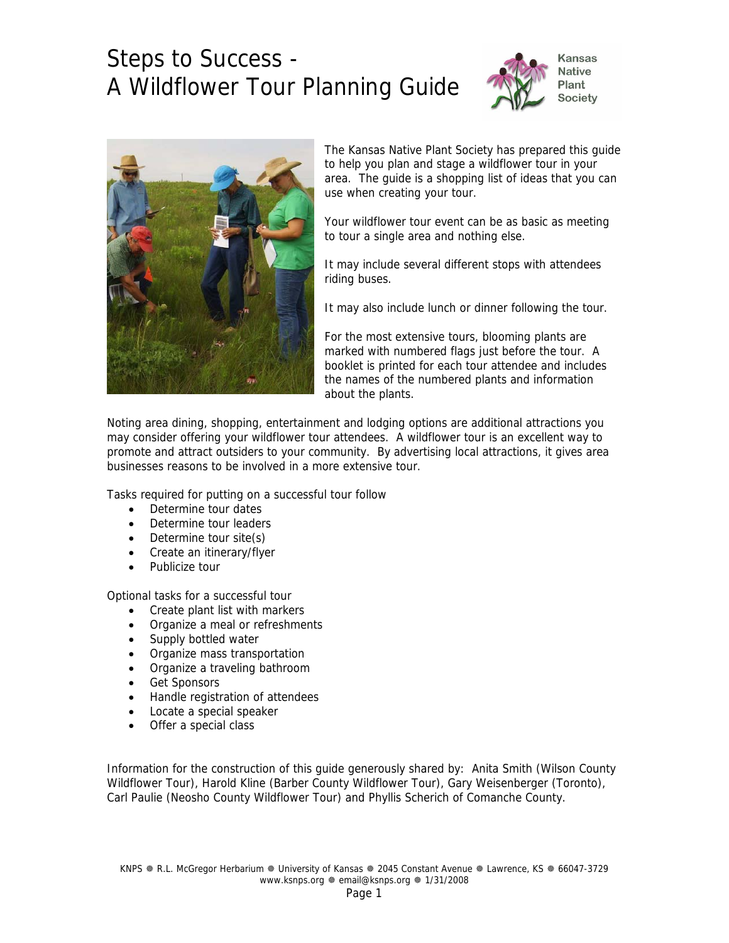



The Kansas Native Plant Society has prepared this guide to help you plan and stage a wildflower tour in your area. The guide is a shopping list of ideas that you can use when creating your tour.

Your wildflower tour event can be as basic as meeting to tour a single area and nothing else.

It may include several different stops with attendees riding buses.

It may also include lunch or dinner following the tour.

For the most extensive tours, blooming plants are marked with numbered flags just before the tour. A booklet is printed for each tour attendee and includes the names of the numbered plants and information about the plants.

Noting area dining, shopping, entertainment and lodging options are additional attractions you may consider offering your wildflower tour attendees. A wildflower tour is an excellent way to promote and attract outsiders to your community. By advertising local attractions, it gives area businesses reasons to be involved in a more extensive tour.

Tasks required for putting on a successful tour follow

- Determine tour dates
- Determine tour leaders
- Determine tour site(s)
- Create an itinerary/flyer
- Publicize tour

Optional tasks for a successful tour

- Create plant list with markers
- Organize a meal or refreshments
- Supply bottled water
- Organize mass transportation
- Organize a traveling bathroom
- Get Sponsors
- Handle registration of attendees
- Locate a special speaker
- Offer a special class

Information for the construction of this guide generously shared by: Anita Smith (Wilson County Wildflower Tour), Harold Kline (Barber County Wildflower Tour), Gary Weisenberger (Toronto), Carl Paulie (Neosho County Wildflower Tour) and Phyllis Scherich of Comanche County.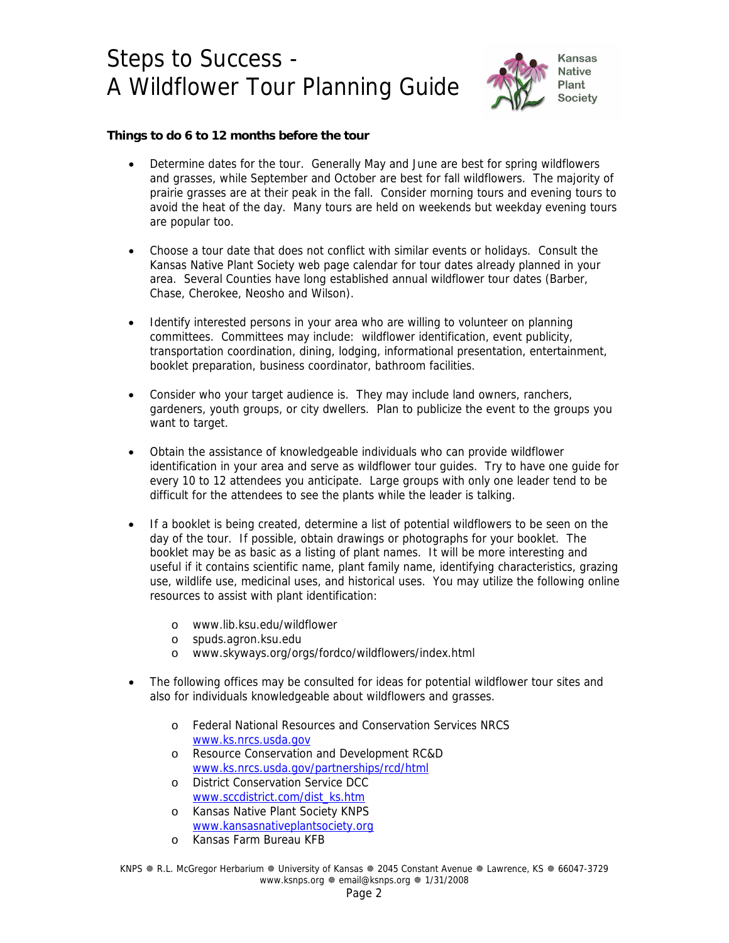

### **Things to do 6 to 12 months before the tour**

- Determine dates for the tour. Generally May and June are best for spring wildflowers and grasses, while September and October are best for fall wildflowers. The majority of prairie grasses are at their peak in the fall. Consider morning tours and evening tours to avoid the heat of the day. Many tours are held on weekends but weekday evening tours are popular too.
- Choose a tour date that does not conflict with similar events or holidays. Consult the Kansas Native Plant Society web page calendar for tour dates already planned in your area. Several Counties have long established annual wildflower tour dates (Barber, Chase, Cherokee, Neosho and Wilson).
- Identify interested persons in your area who are willing to volunteer on planning committees. Committees may include: wildflower identification, event publicity, transportation coordination, dining, lodging, informational presentation, entertainment, booklet preparation, business coordinator, bathroom facilities.
- Consider who your target audience is. They may include land owners, ranchers, gardeners, youth groups, or city dwellers. Plan to publicize the event to the groups you want to target.
- Obtain the assistance of knowledgeable individuals who can provide wildflower identification in your area and serve as wildflower tour guides. Try to have one guide for every 10 to 12 attendees you anticipate. Large groups with only one leader tend to be difficult for the attendees to see the plants while the leader is talking.
- If a booklet is being created, determine a list of potential wildflowers to be seen on the day of the tour. If possible, obtain drawings or photographs for your booklet. The booklet may be as basic as a listing of plant names. It will be more interesting and useful if it contains scientific name, plant family name, identifying characteristics, grazing use, wildlife use, medicinal uses, and historical uses. You may utilize the following online resources to assist with plant identification:
	- o www.lib.ksu.edu/wildflower
	- o spuds.agron.ksu.edu
	- o www.skyways.org/orgs/fordco/wildflowers/index.html
- The following offices may be consulted for ideas for potential wildflower tour sites and also for individuals knowledgeable about wildflowers and grasses.
	- o Federal National Resources and Conservation Services NRCS [www.ks.nrcs.usda.gov](http://www.ks.nrcs.usda.gov/)
	- o Resource Conservation and Development RC&D [www.ks.nrcs.usda.gov/partnerships/rcd/html](http://www.ks.nrcs.usda.gov/partnerships/rcd/html)
	- o District Conservation Service DCC [www.sccdistrict.com/dist\\_ks.htm](http://www.sccdistrict.com/dist_ks.htm)
	- o Kansas Native Plant Society KNPS [www.kansasnativeplantsociety.org](http://www.kansasnativeplantsociety.org/)
	- o Kansas Farm Bureau KFB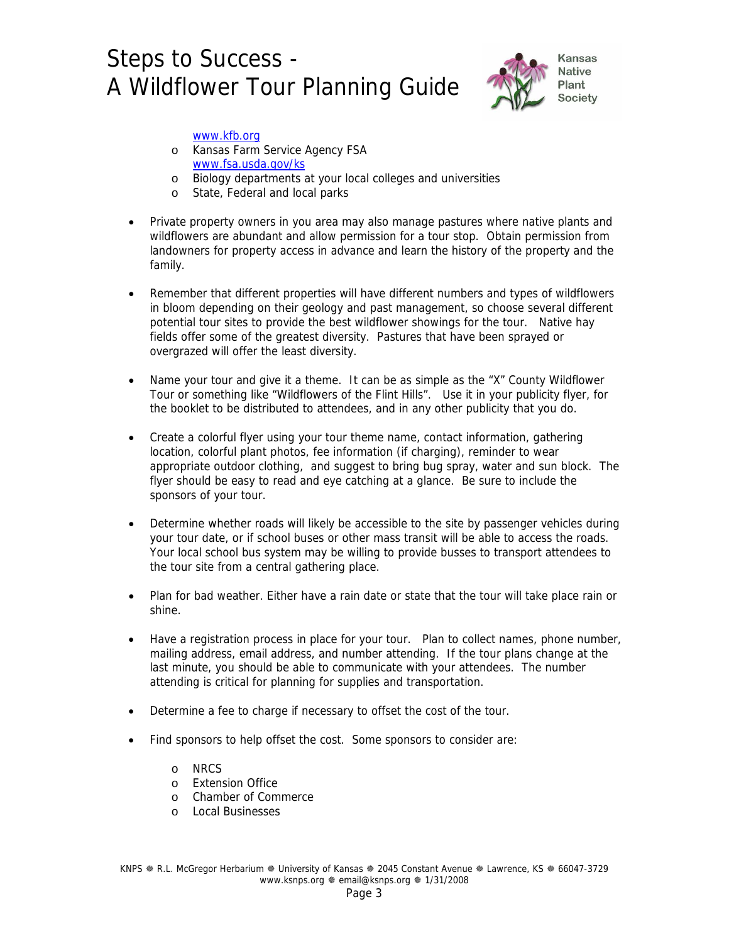

#### [www.kfb.org](http://www.kfb.org/)

- o Kansas Farm Service Agency FSA [www.fsa.usda.gov/ks](http://www.fsa.usda.gov/ks)
- o Biology departments at your local colleges and universities
- o State, Federal and local parks
- Private property owners in you area may also manage pastures where native plants and wildflowers are abundant and allow permission for a tour stop. Obtain permission from landowners for property access in advance and learn the history of the property and the family.
- Remember that different properties will have different numbers and types of wildflowers in bloom depending on their geology and past management, so choose several different potential tour sites to provide the best wildflower showings for the tour. Native hay fields offer some of the greatest diversity. Pastures that have been sprayed or overgrazed will offer the least diversity.
- Name your tour and give it a theme. It can be as simple as the "X" County Wildflower Tour or something like "Wildflowers of the Flint Hills". Use it in your publicity flyer, for the booklet to be distributed to attendees, and in any other publicity that you do.
- Create a colorful flyer using your tour theme name, contact information, gathering location, colorful plant photos, fee information (if charging), reminder to wear appropriate outdoor clothing, and suggest to bring bug spray, water and sun block. The flyer should be easy to read and eye catching at a glance. Be sure to include the sponsors of your tour.
- Determine whether roads will likely be accessible to the site by passenger vehicles during your tour date, or if school buses or other mass transit will be able to access the roads. Your local school bus system may be willing to provide busses to transport attendees to the tour site from a central gathering place.
- Plan for bad weather. Either have a rain date or state that the tour will take place rain or shine.
- Have a registration process in place for your tour. Plan to collect names, phone number, mailing address, email address, and number attending. If the tour plans change at the last minute, you should be able to communicate with your attendees. The number attending is critical for planning for supplies and transportation.
- Determine a fee to charge if necessary to offset the cost of the tour.
- Find sponsors to help offset the cost. Some sponsors to consider are:
	- o NRCS
	- o Extension Office
	- o Chamber of Commerce
	- o Local Businesses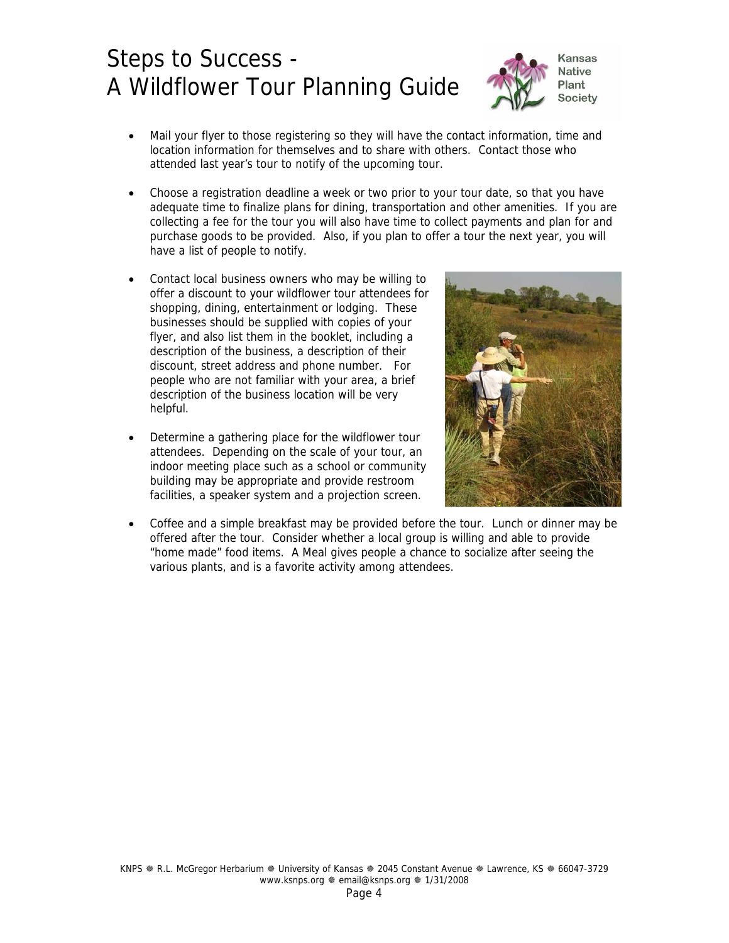

- Mail your flyer to those registering so they will have the contact information, time and location information for themselves and to share with others. Contact those who attended last year's tour to notify of the upcoming tour.
- Choose a registration deadline a week or two prior to your tour date, so that you have adequate time to finalize plans for dining, transportation and other amenities. If you are collecting a fee for the tour you will also have time to collect payments and plan for and purchase goods to be provided. Also, if you plan to offer a tour the next year, you will have a list of people to notify.
- Contact local business owners who may be willing to offer a discount to your wildflower tour attendees for shopping, dining, entertainment or lodging. These businesses should be supplied with copies of your flyer, and also list them in the booklet, including a description of the business, a description of their discount, street address and phone number. For people who are not familiar with your area, a brief description of the business location will be very helpful.
- Determine a gathering place for the wildflower tour attendees. Depending on the scale of your tour, an indoor meeting place such as a school or community building may be appropriate and provide restroom facilities, a speaker system and a projection screen.



• Coffee and a simple breakfast may be provided before the tour. Lunch or dinner may be offered after the tour. Consider whether a local group is willing and able to provide "home made" food items. A Meal gives people a chance to socialize after seeing the various plants, and is a favorite activity among attendees.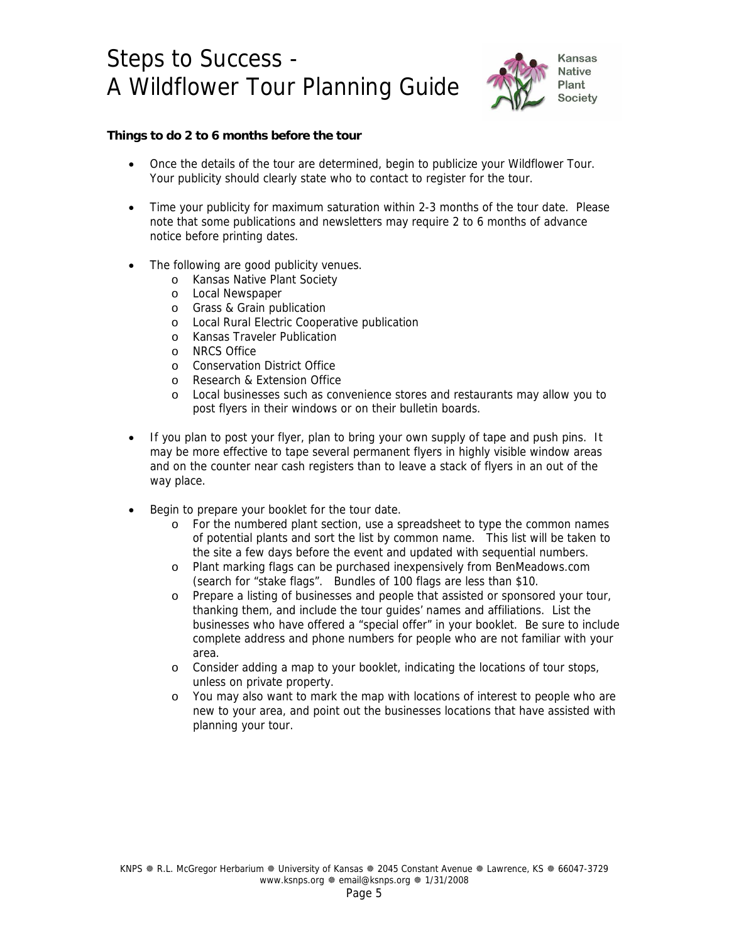

### **Things to do 2 to 6 months before the tour**

- Once the details of the tour are determined, begin to publicize your Wildflower Tour. Your publicity should clearly state who to contact to register for the tour.
- Time your publicity for maximum saturation within 2-3 months of the tour date. Please note that some publications and newsletters may require 2 to 6 months of advance notice before printing dates.
- The following are good publicity venues.
	- o Kansas Native Plant Society
	- o Local Newspaper
	- o Grass & Grain publication
	- o Local Rural Electric Cooperative publication
	- o Kansas Traveler Publication
	- o NRCS Office
	- o Conservation District Office
	- o Research & Extension Office
	- o Local businesses such as convenience stores and restaurants may allow you to post flyers in their windows or on their bulletin boards.
- If you plan to post your flyer, plan to bring your own supply of tape and push pins. It may be more effective to tape several permanent flyers in highly visible window areas and on the counter near cash registers than to leave a stack of flyers in an out of the way place.
- Begin to prepare your booklet for the tour date.
	- o For the numbered plant section, use a spreadsheet to type the common names of potential plants and sort the list by common name. This list will be taken to the site a few days before the event and updated with sequential numbers.
	- o Plant marking flags can be purchased inexpensively from BenMeadows.com (search for "stake flags". Bundles of 100 flags are less than \$10.
	- o Prepare a listing of businesses and people that assisted or sponsored your tour, thanking them, and include the tour guides' names and affiliations. List the businesses who have offered a "special offer" in your booklet. Be sure to include complete address and phone numbers for people who are not familiar with your area.
	- o Consider adding a map to your booklet, indicating the locations of tour stops, unless on private property.
	- o You may also want to mark the map with locations of interest to people who are new to your area, and point out the businesses locations that have assisted with planning your tour.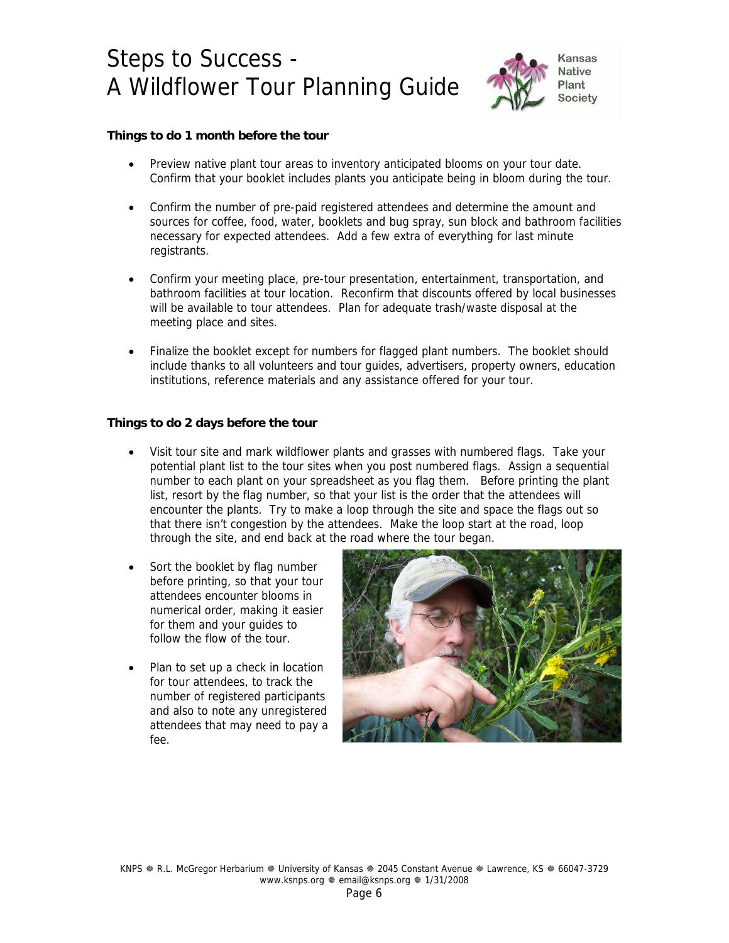

### **Things to do 1 month before the tour**

- Preview native plant tour areas to inventory anticipated blooms on your tour date. Confirm that your booklet includes plants you anticipate being in bloom during the tour.
- Confirm the number of pre-paid registered attendees and determine the amount and sources for coffee, food, water, booklets and bug spray, sun block and bathroom facilities necessary for expected attendees. Add a few extra of everything for last minute registrants.
- Confirm your meeting place, pre-tour presentation, entertainment, transportation, and bathroom facilities at tour location. Reconfirm that discounts offered by local businesses will be available to tour attendees. Plan for adequate trash/waste disposal at the meeting place and sites.
- Finalize the booklet except for numbers for flagged plant numbers. The booklet should include thanks to all volunteers and tour guides, advertisers, property owners, education institutions, reference materials and any assistance offered for your tour.

### **Things to do 2 days before the tour**

- Visit tour site and mark wildflower plants and grasses with numbered flags. Take your potential plant list to the tour sites when you post numbered flags. Assign a sequential number to each plant on your spreadsheet as you flag them. Before printing the plant list, resort by the flag number, so that your list is the order that the attendees will encounter the plants. Try to make a loop through the site and space the flags out so that there isn't congestion by the attendees. Make the loop start at the road, loop through the site, and end back at the road where the tour began.
- Sort the booklet by flag number before printing, so that your tour attendees encounter blooms in numerical order, making it easier for them and your guides to follow the flow of the tour.
- Plan to set up a check in location for tour attendees, to track the number of registered participants and also to note any unregistered attendees that may need to pay a fee.